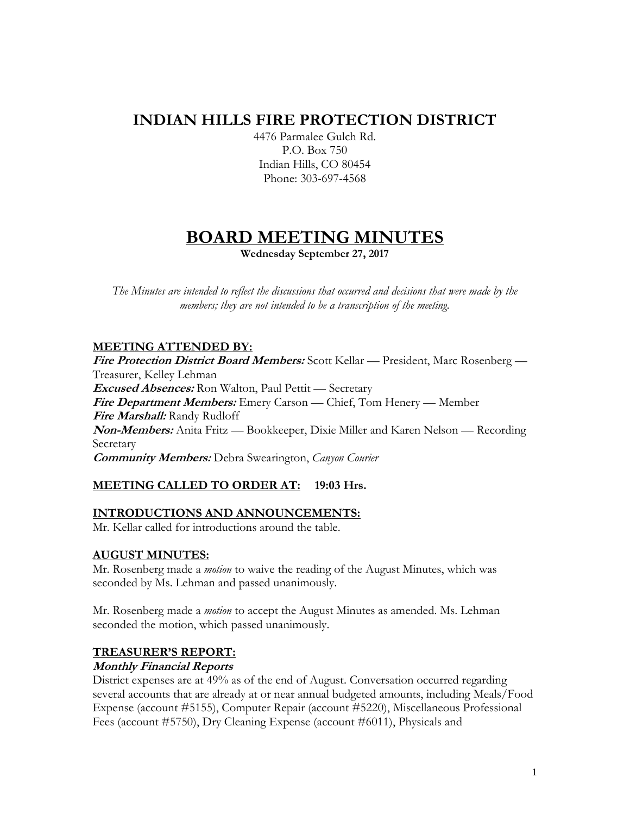# **INDIAN HILLS FIRE PROTECTION DISTRICT**

4476 Parmalee Gulch Rd. P.O. Box 750 Indian Hills, CO 80454 Phone: 303-697-4568

# **BOARD MEETING MINUTES**

**Wednesday September 27, 2017**

*The Minutes are intended to reflect the discussions that occurred and decisions that were made by the members; they are not intended to be a transcription of the meeting.*

# **MEETING ATTENDED BY:**

**Fire Protection District Board Members:** Scott Kellar — President, Marc Rosenberg — Treasurer, Kelley Lehman **Excused Absences:** Ron Walton, Paul Pettit — Secretary **Fire Department Members:** Emery Carson — Chief, Tom Henery — Member **Fire Marshall:** Randy Rudloff **Non-Members:** Anita Fritz — Bookkeeper, Dixie Miller and Karen Nelson — Recording Secretary **Community Members:** Debra Swearington, *Canyon Courier*

# **MEETING CALLED TO ORDER AT: 19:03 Hrs.**

## **INTRODUCTIONS AND ANNOUNCEMENTS:**

Mr. Kellar called for introductions around the table.

## **AUGUST MINUTES:**

Mr. Rosenberg made a *motion* to waive the reading of the August Minutes, which was seconded by Ms. Lehman and passed unanimously.

Mr. Rosenberg made a *motion* to accept the August Minutes as amended. Ms. Lehman seconded the motion, which passed unanimously.

## **TREASURER'S REPORT:**

## **Monthly Financial Reports**

District expenses are at 49% as of the end of August. Conversation occurred regarding several accounts that are already at or near annual budgeted amounts, including Meals/Food Expense (account #5155), Computer Repair (account #5220), Miscellaneous Professional Fees (account #5750), Dry Cleaning Expense (account #6011), Physicals and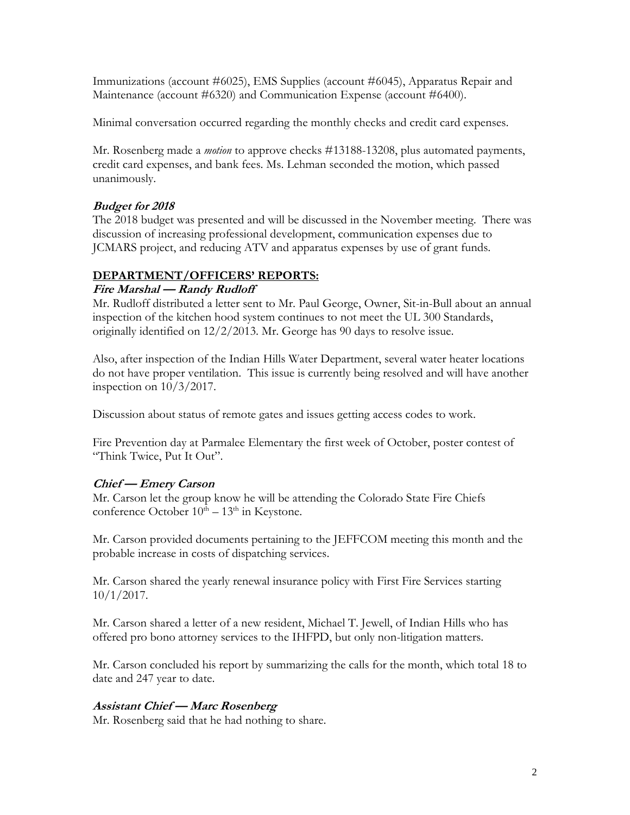Immunizations (account #6025), EMS Supplies (account #6045), Apparatus Repair and Maintenance (account #6320) and Communication Expense (account #6400).

Minimal conversation occurred regarding the monthly checks and credit card expenses.

Mr. Rosenberg made a *motion* to approve checks #13188-13208, plus automated payments, credit card expenses, and bank fees. Ms. Lehman seconded the motion, which passed unanimously.

# **Budget for 2018**

The 2018 budget was presented and will be discussed in the November meeting. There was discussion of increasing professional development, communication expenses due to JCMARS project, and reducing ATV and apparatus expenses by use of grant funds.

# **DEPARTMENT/OFFICERS' REPORTS:**

# **Fire Marshal — Randy Rudloff**

Mr. Rudloff distributed a letter sent to Mr. Paul George, Owner, Sit-in-Bull about an annual inspection of the kitchen hood system continues to not meet the UL 300 Standards, originally identified on 12/2/2013. Mr. George has 90 days to resolve issue.

Also, after inspection of the Indian Hills Water Department, several water heater locations do not have proper ventilation. This issue is currently being resolved and will have another inspection on  $10/3/2017$ .

Discussion about status of remote gates and issues getting access codes to work.

Fire Prevention day at Parmalee Elementary the first week of October, poster contest of "Think Twice, Put It Out".

# **Chief — Emery Carson**

Mr. Carson let the group know he will be attending the Colorado State Fire Chiefs conference October  $10^{th} - 13^{th}$  in Keystone.

Mr. Carson provided documents pertaining to the JEFFCOM meeting this month and the probable increase in costs of dispatching services.

Mr. Carson shared the yearly renewal insurance policy with First Fire Services starting 10/1/2017.

Mr. Carson shared a letter of a new resident, Michael T. Jewell, of Indian Hills who has offered pro bono attorney services to the IHFPD, but only non-litigation matters.

Mr. Carson concluded his report by summarizing the calls for the month, which total 18 to date and 247 year to date.

# **Assistant Chief — Marc Rosenberg**

Mr. Rosenberg said that he had nothing to share.